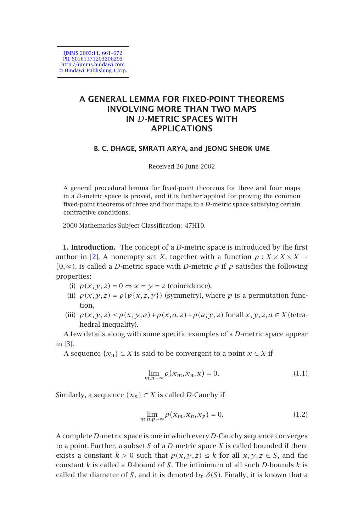

# **A GENERAL LEMMA FOR FIXED-POINT THEOREMS INVOLVING MORE THAN TWO MAPS IN** *D***-METRIC SPACES WITH APPLICATIONS**

### **B. C. DHAGE, SMRATI ARYA, and JEONG SHEOK UME**

Received 26 June 2002

A general procedural lemma for fixed-point theorems for three and four maps in a *D*-metric space is proved, and it is further applied for proving the common fixed-point theorems of three and four maps in a *D*-metric space satisfying certain contractive conditions.

2000 Mathematics Subject Classification: 47H10.

**1. Introduction.** The concept of a *D*-metric space is introduced by the first au[tho](#page-11-0)r in [2]. A nonempty set *X*, together with a function  $\rho: X \times X \times X \rightarrow$ *[*0*,*∞*)*, is called a *D*-metric space with *D*-metric *ρ* if *ρ* satisfies the following properties:

- (i)  $\rho(x, y, z) = 0 \Leftrightarrow x = y = z$  (coincidence),
- (ii)  $\rho(x, y, z) = \rho(p\{x, z, y\})$  (symmetry), where *p* is a permutation function,
- (iii)  $\rho(x, y, z) \le \rho(x, y, a) + \rho(x, a, z) + \rho(a, y, z)$  for all  $x, y, z, a \in X$  (tetrahedral inequality).

A few details along with some specific examples of a *D*-metric space appear in [3].

A sequence  $\{x_n\}$  ⊂ *X* is said to be convergent to a point *x* ∈ *X* if

$$
\lim_{m,n \to \infty} \rho(x_m, x_n, x) = 0.
$$
\n(1.1)

Similarly, a sequence  $\{x_n\} \subset X$  is called *D*-Cauchy if

$$
\lim_{m,n,p\to\infty} \rho(x_m, x_n, x_p) = 0.
$$
\n(1.2)

A complete *D*-metric space is one in which every *D*-Cauchy sequence converges to a point. Further, a subset *S* of a *D*-metric space *X* is called bounded if there exists a constant  $k > 0$  such that  $\rho(x, y, z) \leq k$  for all  $x, y, z \in S$ , and the constant *k* is called a *D*-bound of *S*. The infinimum of all such *D*-bounds *k* is called the diameter of *S*, and it is denoted by  $\delta(S)$ . Finally, it is known that a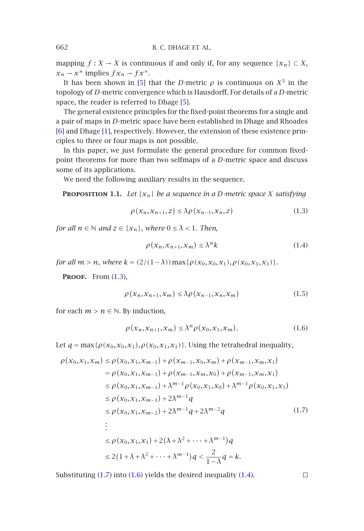mapping *f* : *X* → *X* is continuous if and only if, for any sequence { $x_n$ }  $\subset X$ ,  $x_n \rightarrow x^*$  implies  $fx_n \rightarrow fx^*$ .

<span id="page-1-4"></span>It has been shown in [5] that the *D*-metric  $\rho$  is continuous on  $X^3$  in the topology of *D*-metric convergence which is Hausdorff. For details of a *D*-metric space, the reader is referred to Dhage [5].

The general existence principles for the fixed-point theorems for a single and a pair of maps in *D*-metric space have been established in Dhage and Rhoades [6] and Dhage [1], respectively. However, the extension of these existence principles to three or four maps is not possible.

In this paper, we just formulate the general procedure for common fixedpoint theorems for more than two selfmaps of a *D*-metric space and discuss some of its applications.

We need the following auxiliary results in the sequence.

**PROPOSITION [1.1](#page-1-0).** *Let*  $\{x_n\}$  *be a sequence in a D-metric space X satisfying* 

<span id="page-1-3"></span><span id="page-1-0"></span>
$$
\rho(x_n, x_{n+1}, z) \le \lambda \rho(x_{n-1}, x_n, z) \tag{1.3}
$$

*for all*  $n \in \mathbb{N}$  *and*  $z \in \{x_n\}$ *, where*  $0 \leq \lambda < 1$ *. Then,* 

<span id="page-1-2"></span><span id="page-1-1"></span>
$$
\rho(x_n, x_{n+1}, x_m) \le \lambda^n k \tag{1.4}
$$

*for all*  $m > n$ *, where*  $k = (2/(1 - \lambda)) \max\{\rho(x_0, x_0, x_1), \rho(x_0, x_1, x_1)\}.$ 

**PROOF.** From  $(1.3)$ ,

$$
\rho(x_n, x_{n+1}, x_m) \le \lambda \rho(x_{n-1}, x_n, x_m) \tag{1.5}
$$

for each  $m > n \in \mathbb{N}$ . By induction,

$$
\rho(x_n, x_{n+1}, x_m) \leq \lambda^n \rho(x_0, x_1, x_m). \tag{1.6}
$$

 $\Box$ 

Let  $q = \max\{\rho(x_0, x_0, x_1), \rho(x_0, x_1, x_1)\}\$ . Using the tetrahedral inequality,

$$
\rho(x_0, x_1, x_m) \le \rho(x_0, x_1, x_{m-1}) + \rho(x_{m-1}, x_0, x_m) + \rho(x_{m-1}, x_m, x_1)
$$
  
\n
$$
= \rho(x_0, x_1, x_{m-1}) + \rho(x_{m-1}, x_m, x_0) + \rho(x_{m-1}, x_m, x_1)
$$
  
\n
$$
\le \rho(x_0, x_1, x_{m-1}) + \lambda^{m-1} \rho(x_0, x_1, x_0) + \lambda^{m-1} \rho(x_0, x_1, x_1)
$$
  
\n
$$
\le \rho(x_0, x_1, x_{m-1}) + 2\lambda^{m-1} q
$$
  
\n
$$
\le \rho(x_0, x_1, x_{m-2}) + 2\lambda^{m-1} q + 2\lambda^{m-2} q
$$
  
\n
$$
\vdots
$$
  
\n
$$
\le \rho(x_0, x_1, x_1) + 2(\lambda + \lambda^2 + \dots + \lambda^{m-1}) q
$$
  
\n
$$
\le 2(1 + \lambda + \lambda^2 + \dots + \lambda^{m-1}) q < \frac{2}{1 - \lambda} q = k.
$$
 (1.7)

Substituting (1.7) into (1.6) yields the desired inequality (1.4).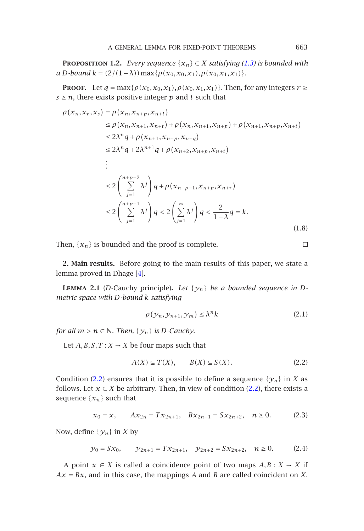#### A GENERAL LEMMA FOR FIXED-POINT THEOREMS 663

**PROPOSITION 1.2.** *Every sequence*  $\{x_n\} \subset X$  *satisfying* (1.3) *is bounded with*  $a \ D$ *-bound*  $k = (2/(1 - \lambda)) \max\{p(x_0, x_0, x_1), p(x_0, x_1, x_1)\}.$ 

**PROOF.** Let  $q = \max\{\rho(x_0, x_0, x_1), \rho(x_0, x_1, x_1)\}$ . Then, for any integers  $r \ge$ *s*  $\geq$  *n*, there exists positive integer *p* and *t* such that

$$
\rho(x_n, x_r, x_s) = \rho(x_n, x_{n+p}, x_{n+t})
$$
\n
$$
\leq \rho(x_n, x_{n+1}, x_{n+t}) + \rho(x_n, x_{n+1}, x_{n+p}) + \rho(x_{n+1}, x_{n+p}, x_{n+t})
$$
\n
$$
\leq 2\lambda^n q + \rho(x_{n+1}, x_{n+p}, x_{n+q})
$$
\n
$$
\leq 2\lambda^n q + 2\lambda^{n+1} q + \rho(x_{n+2}, x_{n+p}, x_{n+t})
$$
\n
$$
\vdots
$$
\n
$$
\leq 2\left(\sum_{j=1}^{n+p-2} \lambda^j\right) q + \rho(x_{n+p-1}, x_{n+p}, x_{n+r})
$$
\n
$$
\leq 2\left(\sum_{j=1}^{n+p-1} \lambda^j\right) q < 2\left(\sum_{j=1}^{\infty} \lambda^j\right) q < \frac{2}{1-\lambda} q = k. \tag{1.8}
$$

<span id="page-2-1"></span>Then,  $\{x_n\}$  is bounded and the proof is complete.

**2. Main results.** Before going to the main results of this paper, we state a lemma proved in Dhage [4].

**LEMMA 2.1** (*D*-Cauchy principle). Let  $\{y_n\}$  be a bounded sequence in *Dmetric spa[ce](#page-2-0) [w](#page-2-0)ith D-bound k satisfying*

<span id="page-2-2"></span>
$$
\rho(\mathcal{Y}_n, \mathcal{Y}_{n+1}, \mathcal{Y}_m) \le \lambda^n k \tag{2.1}
$$

<span id="page-2-0"></span> $\Box$ 

*for all*  $m > n \in \mathbb{N}$ *. Then,*  $\{y_n\}$  *is D-Cauchy*.

Let  $A, B, S, T: X \rightarrow X$  be four maps such that

$$
A(X) \subseteq T(X), \qquad B(X) \subseteq S(X). \tag{2.2}
$$

Condition (2.2) ensures that it is possible to define a sequence  $\{y_n\}$  in *X* as follows. Let  $x \in X$  be arbitrary. Then, in view of condition (2.2), there exists a sequence  $\{x_n\}$  such that

$$
x_0 = x
$$
,  $Ax_{2n} = Tx_{2n+1}$ ,  $Bx_{2n+1} = Sx_{2n+2}$ ,  $n \ge 0$ . (2.3)

Now, define  $\{y_n\}$  in *X* by

$$
y_0 = Sx_0
$$
,  $y_{2n+1} = Tx_{2n+1}$ ,  $y_{2n+2} = Sx_{2n+2}$ ,  $n \ge 0$ . (2.4)

A point  $x \in X$  is called a coincidence point of two maps  $A, B: X \to X$  if  $Ax = Bx$ , and in this case, the mappings *A* and *B* are called coincident on *X*.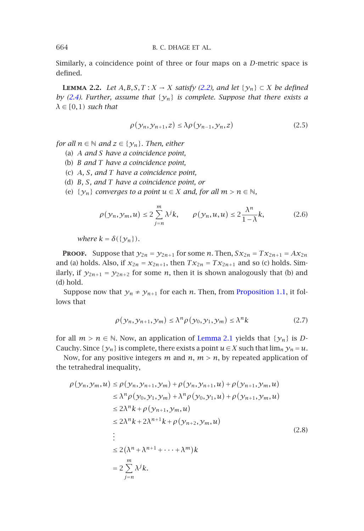Similarly, a coincidence point of three or four maps on a *D*-metric space is defined.

**Lemma 2.2.** *Let A,B,S,T* : *X* → *X satisfy (2.2), and let* {*yn*} ⊂ *X be defined by (2.4). Further, assume that* {*yn*} *is complete. Suppose that there exists a*  $\lambda \in [0,1)$  *such that* 

$$
\rho(y_n, y_{n+1}, z) \le \lambda \rho(y_{n-1}, y_n, z) \tag{2.5}
$$

*for all*  $n \in \mathbb{N}$  *and*  $z \in \{y_n\}$ *. Then, either* 

- (a) *A and S have a coincidence point,*
- (b) *B and T have a coincidence point,*
- (c) *A, S, and T have a coincidence point,*
- (d) *B, S, and T have a coincidence point, or*
- (e)  $\{y_n\}$  *converges to a point*  $u \in X$  *and, for all*  $m > n \in \mathbb{N}$ *,*

$$
\rho(\mathcal{Y}_n, \mathcal{Y}_m, u) \le 2 \sum_{j=n}^m \lambda^j k, \qquad \rho(\mathcal{Y}_n, u, u) \le 2 \frac{\lambda^n}{1 - \lambda} k,
$$
\n(2.6)

*where*  $k = \delta({y_n})$ .

**PROOF.** Suppose that  $y_{2n} = y_{2n+1}$  for some *n*[. Then,](#page-2-1)  $Sx_{2n} = Tx_{2n+1} = Ax_{2n}$ and (a) holds. Also, if  $x_{2n} = x_{2n+1}$ , then  $Tx_{2n} = Tx_{2n+1}$  and so (c) holds. Similarly, if  $y_{2n+1} = y_{2n+2}$  for some *n*, then it is shown analogously that (b) and (d) hold.

Suppose now that  $y_n \neq y_{n+1}$  for each *n*. Then, from Proposition 1.1, it follows that

$$
\rho(y_n, y_{n+1}, y_m) \le \lambda^n \rho(y_0, y_1, y_m) \le \lambda^n k \tag{2.7}
$$

for all  $m > n \in \mathbb{N}$ . Now, an application of Lemma 2.1 yields that  $\{y_n\}$  is *D*-Cauchy. Since  $\{y_n\}$  is complete, there exists a point  $u \in X$  such that  $\lim_n y_n = u$ .

Now, for any positive integers  $m$  and  $n, m > n$ , by repeated application of the tetrahedral inequality,

$$
\rho(y_n, y_m, u) \le \rho(y_n, y_{n+1}, y_m) + \rho(y_n, y_{n+1}, u) + \rho(y_{n+1}, y_m, u)
$$
  
\n
$$
\le \lambda^n \rho(y_0, y_1, y_m) + \lambda^n \rho(y_0, y_1, u) + \rho(y_{n+1}, y_m, u)
$$
  
\n
$$
\le 2\lambda^n k + \rho(y_{n+1}, y_m, u)
$$
  
\n
$$
\le 2\lambda^n k + 2\lambda^{n+1} k + \rho(y_{n+2}, y_m, u)
$$
  
\n
$$
\vdots
$$
  
\n
$$
\le 2(\lambda^n + \lambda^{n+1} + \dots + \lambda^m)k
$$
  
\n
$$
= 2 \sum_{j=n}^m \lambda^j k.
$$
 (2.8)

<span id="page-3-0"></span>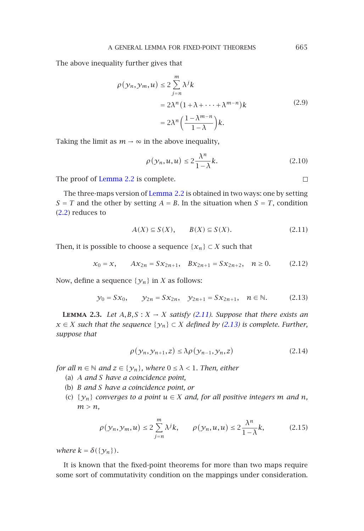#### A GENERAL LEMMA FOR FIXED-POINT THEOREMS 665

The above inequality further gives that

$$
\rho(y_n, y_m, u) \le 2 \sum_{j=n}^m \lambda^j k
$$
  
=  $2\lambda^n (1 + \lambda + \dots + \lambda^{m-n})k$   
=  $2\lambda^n \left(\frac{1 - \lambda^{m-n}}{1 - \lambda}\right)k$ . (2.9)

Taking the limit as  $m \rightarrow \infty$  in the above inequality,

$$
\rho(y_n, u, u) \le 2 \frac{\lambda^n}{1 - \lambda} k. \tag{2.10}
$$

<span id="page-4-0"></span> $\Box$ 

The proof of Lemma 2.2 is complete.

The three-maps version of Lemma 2.2 is obtained in two ways: one by setting *S* = *T* and the other by setting  $A = B$ . In the situation when *S* = *T*, condition (2.2) reduces to

$$
A(X) \subseteq S(X), \qquad B(X) \subseteq S(X). \tag{2.11}
$$

Then, it is possible to choose a sequence  $\{x_n\} \subset X$  such that

$$
x_0 = x, \qquad Ax_{2n} = Sx_{2n+1}, \quad Bx_{2n+1} = Sx_{2n+2}, \quad n \ge 0. \tag{2.12}
$$

Now, define a sequence  $\{y_n\}$  in *X* as follows:

$$
y_0 = Sx_0
$$
,  $y_{2n} = Sx_{2n}$ ,  $y_{2n+1} = Sx_{2n+1}$ ,  $n \in \mathbb{N}$ . (2.13)

**LEMMA 2.3.** *Let*  $A, B, S: X \rightarrow X$  *satisfy (2.11). Suppose that there exists an x* ∈ *X* such that the sequence { $y_n$ } ⊂ *X* defined by (2.13) is complete. Further, *suppose that*

$$
\rho(y_n, y_{n+1}, z) \le \lambda \rho(y_{n-1}, y_n, z) \tag{2.14}
$$

*for all*  $n \in \mathbb{N}$  *and*  $z \in \{y_n\}$ *, where*  $0 \leq \lambda < 1$ *. Then, either* 

- (a) *A and S have a coincidence point,*
- (b) *B and S have a coincidence point, or*
- (c)  $\{y_n\}$  *converges to a point*  $u \in X$  *and, for all positive integers m and n*, *m>n,*

$$
\rho(\mathcal{Y}_n, \mathcal{Y}_m, u) \le 2 \sum_{j=n}^m \lambda^j k, \qquad \rho(\mathcal{Y}_n, u, u) \le 2 \frac{\lambda^n}{1 - \lambda} k,
$$
\n(2.15)

*where*  $k = \delta({y_n})$ .

It is known that the fixed-point theorems for more than two maps require some sort of commutativity condition on the mappings under consideration.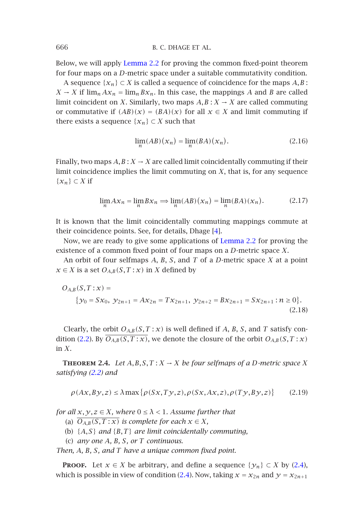Below, we will apply Lemma 2.2 for proving the common fixed-point theorem for four maps on a *D*-metric space under a suitable commutativity condition. A sequence  $\{x_n\} \subset X$  is called a sequence of coincidence for the maps  $A, B$ :  $X \rightarrow X$  if  $\lim_{n} Ax_n = \lim_{n} Bx_n$ . In this case, the mappings *A* and *B* are called

limit coincident on *X*. Similarly, two maps  $A, B: X \rightarrow X$  are called commuting or commutative if  $(AB)(x) = (BA)(x)$  for all  $x \in X$  and limit commuting if there exists a sequence  $\{x_n\} \subset X$  such that

$$
\lim_{n}(AB)(x_n) = \lim_{n}(BA)(x_n). \tag{2.16}
$$

Finally, two maps  $A, B: X \to X$  are called limit coinc[identally](#page-3-0) [com](#page-3-0)muting if their limit coincidence implies the limit commuting on *X*, that is, for any sequence {*xn*} ⊂ *X* if

<span id="page-5-0"></span>
$$
\lim_{n} Ax_n = \lim_{n} Bx_n \Longrightarrow \lim_{n} (AB)(x_n) = \lim_{n} (BA)(x_n). \tag{2.17}
$$

It is known that the limit coincidentally commuting mappings commute at their coincidence points. See, for details, Dhage [4].

Now, we are ready to give some applications of Lemma 2.2 for proving the existe[nce o](#page-2-0)f a common fixed point of four maps on a *D*-metric space *X*.

An orbit of four selfmaps *A*, *B*, *S*, and *T* of a *D*-metric space *X* at a point *x* ∈ *X* is a set  $O_{A,B}(S,T:x)$  in *X* defined by

$$
O_{A,B}(S, T : x) =
$$
  
{ $y_0 = Sx_0$ ,  $y_{2n+1} = Ax_{2n} = Tx_{2n+1}$ ,  $y_{2n+2} = Bx_{2n+1} = Sx_{2n+1}$ :  $n \ge 0$ }. (2.18)

Clearly, the orbit  $O_{A,B}(S,T:x)$  is well defined if A, B, S, and T satisfy condition (2.2). By  $\overline{O_{A,B}(S,T:x)}$ , we denote the closure of the orbit  $O_{A,B}(S,T:x)$ in *X*.

**THEOREM 2.4.** *Let*  $A, B, S, T: X \rightarrow X$  *be four selfmaps of a D-metric space X satisfying (2.2) and*

$$
\rho(Ax, By, z) \le \lambda \max \{ \rho(Sx, Ty, z), \rho(Sx, Ax, z), \rho(Ty, By, z) \} \tag{2.19}
$$

*for all*  $x, y, z \in X$ *, where*  $0 \le \lambda < 1$ *. Assume further that* 

(a)  $O_{A,B}(S,T:x)$  *is complete for each*  $x \in X$ *,* 

- (b) {*A,S*} *and* {*B,T*} *are limit coincidentally commuting,*
- (c) *any one A, B, S, or T continuous.*

*Then, A, B, S, and T have a unique common fixed point.*

**PROOF.** Let  $x \in X$  be arbitrary, and define a sequence  $\{y_n\} \subset X$  by (2.4), which is possible in view of condition (2.4). Now, taking  $x = x_{2n}$  and  $y = x_{2n+1}$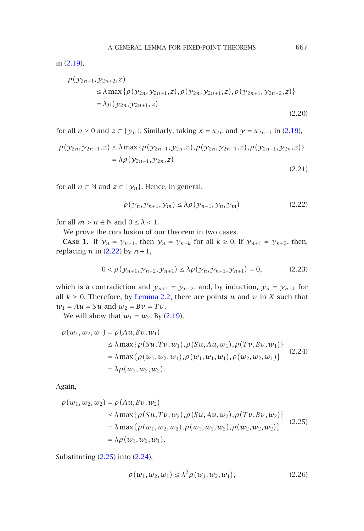A GENERAL LEMMA FOR FIXED-POINT THEOREMS [6](#page-5-0)67

in 
$$
(2.19)
$$
,

$$
\rho(y_{2n+1}, y_{2n+2}, z)
$$
  
\n
$$
\leq \lambda \max \{ \rho(y_{2n}, y_{2n+1}, z), \rho(y_{2n}, y_{2n+1}, z), \rho(y_{2n+1}, y_{2n+2}, z) \}
$$
  
\n
$$
= \lambda \rho(y_{2n}, y_{2n+1}, z)
$$
\n(2.20)

for all  $n \ge 0$  and  $z \in \{y_n\}$ . Similarly, taking  $x = x_{2n}$  and  $y = x_{2n-1}$  in (2.19),

$$
\rho(y_{2n}, y_{2n+1}, z) \le \lambda \max \{ \rho(y_{2n-1}, y_{2n}, z), \rho(y_{2n}, y_{2n+1}, z), \rho(y_{2n-1}, y_{2n}, z) \}
$$
  
=  $\lambda \rho(y_{2n-1}, y_{2n}, z)$  (2.21)

for all  $n \in \mathbb{N}$  and  $z \in \{y_n\}$ . Hence, in general,

<span id="page-6-1"></span>
$$
\rho(y_n, y_{n+1}, y_m) \le \lambda \rho(y_{n-1}, y_n, y_m)
$$
\n(2.22)

for all  $m > n \in \mathbb{N}$  and  $0 \le \lambda < 1$ .

We prove the conclusion of our [theo](#page-5-0)rem in two cases.

**CASE 1.** If  $y_n = y_{n+1}$ , then  $y_n = y_{n+k}$  for all  $k \ge 0$ . If  $y_{n+1} \ne y_{n+2}$ , then, replacing *n* in (2.22) by  $n+1$ ,

$$
0 < \rho(y_{n+1}, y_{n+2}, y_{n+1}) \le \lambda \rho(y_n, y_{n+1}, y_{n+1}) = 0,
$$
 (2.23)

<span id="page-6-0"></span>which is a contradiction and  $y_{n+1} = y_{n+2}$ , and, by induction,  $y_n = y_{n+k}$  for all  $k \ge 0$ . Therefore, by Lemma 2.2, there are points *u* and *v* in *X* such that  $w_1 = Au = Su$  and  $w_2 = Bv = Tv$ .

We will show that  $w_1 = w_2$ . By (2.19),

$$
\rho(w_1, w_2, w_1) = \rho(Au, Bv, w_1)
$$
  
\n
$$
\leq \lambda \max \{ \rho(Su, Tv, w_1), \rho(Su, Au, w_1), \rho(Tv, Bv, w_1) \}
$$
  
\n
$$
= \lambda \max \{ \rho(w_1, w_2, w_1), \rho(w_1, w_1, w_1), \rho(w_2, w_2, w_1) \}
$$
  
\n
$$
= \lambda \rho(w_1, w_2, w_2).
$$
\n(2.24)

Again,

$$
\rho(w_1, w_2, w_2) = \rho(Au, Bv, w_2)
$$
  
\n
$$
\le \lambda \max \{ \rho(Su, Tv, w_2), \rho(Su, Au, w_2), \rho(Tv, Bv, w_2) \}
$$
  
\n
$$
= \lambda \max \{ \rho(w_1, w_2, w_2), \rho(w_1, w_1, w_2), \rho(w_2, w_2, w_2) \}
$$
  
\n
$$
= \lambda \rho(w_1, w_2, w_1).
$$
\n(2.25)

Substituting (2.25) into (2.24),

$$
\rho(w_1, w_2, w_1) \le \lambda^2 \rho(w_1, w_2, w_1), \tag{2.26}
$$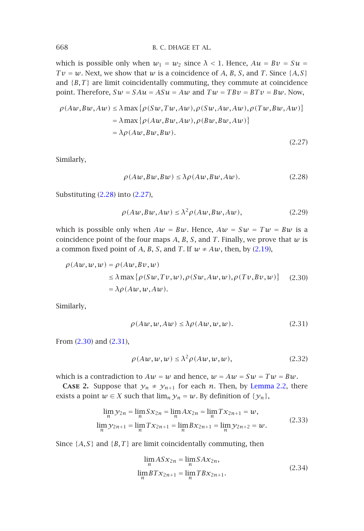which is possible only when  $w_1 = w_2$  since  $\lambda < 1$ . Hence,  $Au = Bv = Su =$  $T v = w$ . Next, we show that *w* is a coincidence of *A*, *B*, *S*, and *T*. Since {*A*, *S*} and {*B,T*} are limit coincidentally commuting, they commute at coincidence point. Therefore,  $Sw = SAu = ASu = Aw$  and  $Tw = TBv = BTv = Bw$ . Now,

$$
\rho(Aw, Bw, Aw) \le \lambda \max \{ \rho(Sw, Tw, Aw), \rho(Sw, Aw, Aw), \rho(Tw, Bw, Aw) \}
$$
  
=  $\lambda \max \{ \rho(Aw, Bw, Aw), \rho(Bw, Bw, Aw) \}$   
=  $\lambda \rho(Aw, Bw, Bw).$  (2.27)

Similarly,

<span id="page-7-0"></span>
$$
\rho(Aw, Bw, Bw) \le \lambda \rho(Aw, Bw, Aw). \tag{2.28}
$$

Substituting (2.28) into (2.27),

$$
\rho(Aw, Bw, Aw) \le \lambda^2 \rho(Aw, Bw, Aw), \qquad (2.29)
$$

which is possible only when  $Aw = Bw$ . Hence,  $Aw = Sw = Tw = Bw$  is a coincidence point of the four maps  $A$ ,  $B$ ,  $S$ , and  $T$ . Finally, we prove that  $w$  is a common fixed point of *A*, *B*, *S*, and *T*. If  $w \neq Aw$ , then, by (2.19),

$$
\rho(Aw, w, w) = \rho(Aw, Bv, w)
$$
  
\n
$$
\leq \lambda \max \{ \rho(Sw, Tv, w), \rho(Sw, Aw, w), \rho(Tv, Bv, w) \} \quad (2.30)
$$
  
\n
$$
= \lambda \rho(Aw, w, Aw).
$$

Similarly,

$$
\rho(Aw, w, Aw) \le \lambda \rho(Aw, w, w). \tag{2.31}
$$

From (2.30) and (2.31),

$$
\rho(Aw, w, w) \le \lambda^2 \rho(Aw, w, w), \tag{2.32}
$$

which is a contradiction to  $Aw = w$  and hence,  $w = Aw = Sw = Tw = Bw$ .

**CASE 2.** Suppose that  $y_n \neq y_{n+1}$  for each *n*. Then, by Lemma 2.2, there exists a point  $w \in X$  such that  $\lim_{n} y_n = w$ . By definition of  $\{y_n\}$ ,

$$
\lim_{n} y_{2n} = \lim_{n} Sx_{2n} = \lim_{n} Ax_{2n} = \lim_{n} Tx_{2n+1} = w,
$$
  

$$
\lim_{n} y_{2n+1} = \lim_{n} Tx_{2n+1} = \lim_{n} Bx_{2n+1} = \lim_{n} y_{2n+2} = w.
$$
 (2.33)

Since  $\{A, S\}$  and  $\{B, T\}$  are limit coincidentally commuting, then

$$
\lim_{n} ASx_{2n} = \lim_{n} SAx_{2n},
$$
\n
$$
\lim_{n} BTx_{2n+1} = \lim_{n} TBx_{2n+1}.
$$
\n(2.34)

<span id="page-7-1"></span>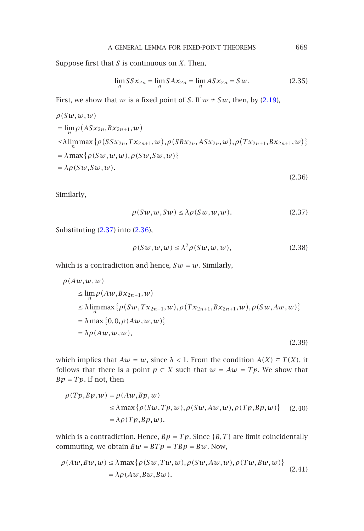<span id="page-8-1"></span>A GENERAL LEMMA FOR FIXED-POINT THEOREMS 669

Suppose first that *S* is continuous on *X*. Then,

<span id="page-8-0"></span>
$$
\lim_{n} SSx_{2n} = \lim_{n} SAx_{2n} = \lim_{n} ASx_{2n} = Sw.
$$
\n(2.35)

First, we show that *w* is a fixed point of *S*. If  $w \neq Sw$ , then, by (2.19),

$$
\rho(Sw, w, w)
$$
\n
$$
= \lim_{n} \rho(ASx_{2n}, Bx_{2n+1}, w)
$$
\n
$$
\leq \lambda \lim_{n} \max \{ \rho(SSx_{2n}, Tx_{2n+1}, w), \rho(SBx_{2n}, ASx_{2n}, w), \rho(Tx_{2n+1}, Bx_{2n+1}, w) \}
$$
\n
$$
= \lambda \max \{ \rho(Sw, w, w), \rho(Sw, Sw, w) \}
$$
\n
$$
= \lambda \rho(Sw, Sw, w).
$$
\n(2.36)

Similarly,

$$
\rho(Sw, w, Sw) \le \lambda \rho(Sw, w, w). \tag{2.37}
$$

Substituting (2.37) into (2.36),

$$
\rho(Sw, w, w) \le \lambda^2 \rho(Sw, w, w), \tag{2.38}
$$

which is a contradiction and hence,  $Sw = w$ . Similarly,

$$
\rho(Aw, w, w)
$$
\n
$$
\leq \lim_{n} \rho(Aw, Bx_{2n+1}, w)
$$
\n
$$
\leq \lambda \lim_{n} \max \{ \rho(Sw, Tx_{2n+1}, w), \rho(Tx_{2n+1}, Bx_{2n+1}, w), \rho(Sw, Aw, w) \}
$$
\n
$$
= \lambda \max \{ 0, 0, \rho(Aw, w, w) \}
$$
\n
$$
= \lambda \rho(Aw, w, w), \tag{2.39}
$$

which implies that  $Aw = w$ , since  $\lambda < 1$ . From the condition  $A(X) \subseteq T(X)$ , it follows that there is a point  $p \in X$  such that  $w = Aw = Tp$ . We show that  $Bp = Tp$ . If not, then

$$
\rho(Tp, Bp, w) = \rho(Aw, Bp, w)
$$
  
\n
$$
\leq \lambda \max \{ \rho(Sw, Tp, w), \rho(Sw, Aw, w), \rho(Tp, Bp, w) \} \quad (2.40)
$$
  
\n
$$
= \lambda \rho(Tp, Bp, w),
$$

which is a contradiction. Hence,  $Bp = Tp$ . Since  $\{B, T\}$  are limit coincidentally commuting, we obtain  $Bw = BTp = TBp = Bw$ . Now,

$$
\rho(Aw, Bw, w) \le \lambda \max \{ \rho(Sw, Tw, w), \rho(Sw, Aw, w), \rho(Tw, Bw, w) \}
$$
  
=  $\lambda \rho(Aw, Bw, Bw)$ . (2.41)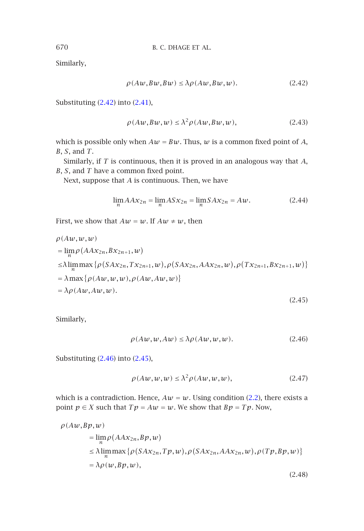Similarly,

$$
\rho(Aw,Bw,Bw) \le \lambda \rho(Aw,Bw,w). \tag{2.42}
$$

Substituting (2.42) into (2.41),

<span id="page-9-1"></span>
$$
\rho(Aw, Bw, w) \le \lambda^2 \rho(Aw, Bw, w), \tag{2.43}
$$

which is possible only when  $Aw = Bw$ . Thus,  $w$  is a common fixed point of  $A$ , *B*, *S*, and *T*.

Similarly, if *T* is continuous, then it is proved in an analogous way that *A*, *B*, *S*, and *T* have a common fixed point.

Next, suppose that *A* is continuous. Then, we have

<span id="page-9-0"></span>
$$
\lim_{n} A A x_{2n} = \lim_{n} A S x_{2n} = \lim_{n} S A x_{2n} = A w.
$$
 (2.44)

First, we show that  $Aw = w$ . If  $Aw \neq w$ , then

$$
\rho(Aw, w, w)
$$
  
=  $\lim_{n} \rho(AAx_{2n}, Bx_{2n+1}, w)$   
 $\leq \lambda \lim_{n} \max \{\rho(SAx_{2n}, Tx_{2n+1}, w), \rho(SAx_{2n}, AAx_{2n}, w), \rho(Tx_{2n+1}, Bx_{2n+1}, w)\}\$   
=  $\lambda \max \{\rho(Aw, w, w), \rho(Aw, Aw, w)\}\$   
=  $\lambda \rho(Aw, Aw, w).$  (2.45)

Similarly,

$$
\rho(Aw, w, Aw) \le \lambda \rho(Aw, w, w). \tag{2.46}
$$

Substituting (2.46) into (2.45),

$$
\rho(Aw, w, w) \le \lambda^2 \rho(Aw, w, w), \qquad (2.47)
$$

which is a contradiction. Hence,  $Aw = w$ . Using condition (2.2), there exists a point *p*  $\in$  *X* such that *Tp* = *Aw* = *w*. We show that *Bp* = *Tp*. Now,

$$
\rho(Aw, Bp, w)
$$
  
=  $\lim_{n} \rho(AAx_{2n}, Bp, w)$   

$$
\leq \lambda \lim_{n} \max \{ \rho(SAx_{2n}, Tp, w), \rho(SAx_{2n}, AAx_{2n}, w), \rho(Tp, Bp, w) \}
$$
  
=  $\lambda \rho(w, Bp, w),$  (2.48)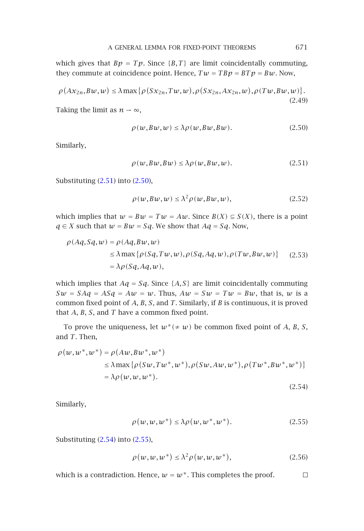<span id="page-10-1"></span>A GENERAL LEMMA FOR FIXED-POINT THEOREMS 671

<span id="page-10-0"></span>which gives that  $Bp = Tp$ . Since  $\{B, T\}$  are limit coincidentally commuting, they commute at coincidence point. Hence,  $Tw = TBP = BTp = Bw$ . Now,

$$
\rho(Ax_{2n}, Bw, w) \le \lambda \max \{ \rho(Sx_{2n}, Tw, w), \rho(Sx_{2n}, Ax_{2n}, w), \rho(Tw, Bw, w) \}.
$$
\n(2.49)

Taking the limit as  $n \rightarrow \infty$ ,

$$
\rho(w, Bw, w) \le \lambda \rho(w, Bw, Bw). \tag{2.50}
$$

Similarly,

$$
\rho(w, Bw, Bw) \le \lambda \rho(w, Bw, w). \tag{2.51}
$$

Substituting (2.51) into (2.50),

$$
\rho(w, Bw, w) \le \lambda^2 \rho(w, Bw, w), \qquad (2.52)
$$

which implies that  $w = Bw = Tw = Aw$ . Since  $B(X) \subseteq S(X)$ , there is a point *q* ∈ *X* such that  $w = Bw = Sq$ . We show that  $Aq = Sq$ . Now,

<span id="page-10-2"></span>
$$
\rho(Aq, Sq, w) = \rho(Aq, Bw, w)
$$
  
\n
$$
\leq \lambda \max \{ \rho(Sq, Tw, w), \rho(Sq, Aq, w), \rho(Tw, Bw, w) \} \quad (2.53)
$$
  
\n
$$
= \lambda \rho(Sq, Aq, w),
$$

which implies that  $Aq = Sq$ . Since  $\{A, S\}$  are limit coincidentally commuting  $Sw = SAq = ASq = Aw = w$ . Thus,  $Aw = Sw = Tw = Bw$ , that is, *w* is a common fixed point of *A*, *B*, *S*, and *T*. Similarly, if *B* is continuous, it is proved that *A*, *B*, *S*, and *T* have a common fixed point.

<span id="page-10-3"></span>To prove the uniqueness, let  $w^*(\neq w)$  be common fixed point of *A*, *B*, *S*, and *T*. Then,

$$
\rho(w, w^*, w^*) = \rho(Aw, Bw^*, w^*)
$$
  
\n
$$
\leq \lambda \max \{ \rho(Sw, Tw^*, w^*), \rho(Sw, Aw, w^*), \rho(Tw^*, Bw^*, w^*) \}
$$
  
\n
$$
= \lambda \rho(w, w, w^*).
$$
\n(2.54)

Similarly,

$$
\rho(w, w, w^*) \le \lambda \rho(w, w^*, w^*). \tag{2.55}
$$

Substituting (2.54) into (2.55),

$$
\rho(w, w, w^*) \le \lambda^2 \rho(w, w, w^*), \tag{2.56}
$$

which is a contradiction. Hence,  $w = w^*$ . This completes the proof.  $\Box$